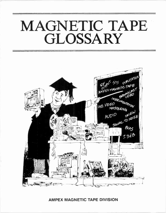# MAciNETIC TAPE GLOSSARY



AMPEX MAGNETIC TAPE DIVISION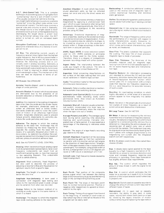A.C.T. (Anti-Comet-Tail): This is a complex technique of preventing picture highlights from heard 'comet-tailing" due to a lack of beam current. (The usually colored trail behind a moving,

very bright light/reflection in a picture is called a "comet-tail" since the effect looks similar to an astronomical comet.) The technique involves a special tube and circuitry to drive it. Basically, the charge due to a very bright object is never allowed to build up to an unmanageable level by discharging the target above a preset level during horizontal retrace time when the ACT action is turned on, with an increased beam current.

Absorption Coefficient: A measurement of the absorptive characteristics of a material in com- parison to air.

AC Bias: The alternating current, usually of frequency several times higher than the highest signal frequency, that is fed to a record head in addition to the signal current. AC bias serves to linearize the recording process and is universally used in analog recording. Generally, a large AC bias is necessary to achieve maximum long wavelength output and linearity, buta lower value of bias is required to obtain maximum short-wavelength output. The mechanism of AC bias can best be explained in terms of anhysteresis.

# AC Erasure: See ERASURE.

Acicular: Needle-shaped, used to describe the shape of oxide particles.

Acoustic Shadow: An area in which sound waves are attenuated due to the presence of an acoustic absorber or reflector in the path of the sound waves.

Additive: Any material in the coating of magnetic tape other than the oxide and the binder resins; for example, plasticizers (materials used to soften an otherwise hard or brittle binder), lubricants (materials used to lower the coefficient of friction of an otherwise high -friction binder), fungicides (materials used to prevent fungus growth), dispersants (to uniformly distribute the oxide particles) and dyes.

Adhesion: The degree to which the coating adheres to the base film. Anchorage may be checked by measuring the force required to separate the coating from the base film by means of a specially designed plow blade or, more simply, by determining whether the coating can be peeled from the base film by means of ordinary pressure-sensitive adhesive tape.

ALC: See AUTOMATIC LEVEL CONTROL.

Aliasing: When reconstructing an analog signal from its sampled data representation, false lower frequency components can result from an insufficient sampling rate, i.e., less than required by the sampling theorem. This undesirable result is called aliasing.

Alignment: Most commonly, Head Alignment, but also used to describe the process of adjusting a recorder's Bias and Equalization for optimum results from a specific tape.

Amplitude: The height of a waveform above or below the zero line.

Amplitude Non-Uniformity: A term used in connection with magnetic tape testing and refers to the reproduced peak -to -peak voltage and its variation from what was recorded.

Analog: Refers to the historic method of re cording an audio signal in the same manner in which it is heard.

Anchorage: The degree to which the magnetic tape oxide coating adheres to the base film.

Anechoic Chamber: A room which has totally sound absorbant walls, so that no reflected waves can exist and only the direct waves are

Anhysteresis: The process whereby a material is magnetized by applying a unidirectional field upon which is superimposed an alternating field of gradually decreasing amplitude. One form of this process is analogous to the recording process using AC Bias.

Anisotropy: Directional dependence of magnetic properties, leading to the existence of easy or preferred directions of magnetization. Anisotropy of a particle may be related to its shape, to its crystalline structure or to the existence of strains within it. Shape anisotropy is the dominant form in acicular particles.

ANRS, Super ANRS: A noise reduction system used by JVC. ANRS operates on principles similar to those used by the Dolby system. Therefore, there is a degree of compatibility between recordings made with either system.

Aspect Ratio: The relationship between the width and height of the picture. The ratio is standardized in the United States at 3:4.

Asperities: Small projecting imperfections on the surface of the tape coating that limit and cause variations in head -to-tape contact.

Audio: The common name for the sound portion of a television transmission.

Automatic: Refers to either electrical or mechanical automatic bias switching devices.

Automatic Level Control (ALC): A circuit which automatically holds recording levels within permissible limits. Also known as Automatic .<br>Volume Control (AVC).

Automatic Shut-off: A device (usually a mechanical switch) incorporated into most tape re corders that automatically stops the machine when the tape runs out or breaks.

Average Picture Level (APL): The average signal level during active scanning time (excluding blanking and synchronizing intervals) integrated over a frame period. It is expressed as a percentage of the blanking to reference white range.

Azimuth: The angle of a tape head's recording gap relative to the tape

Azimuth Alignment: Alignment of the recording and reproducing gaps so that their centerlines lie parallel with one another and at right angles to the direction of head/tape motion. Misalignment of the gaps causes a loss in output at short wavelengths. For example, using a track width of 50 mils, a misalignment of only 0.05 degrees will cause a 3 dB loss at a wavelength of 0.1 mil.

Azimuth Loss: High frequency losses caused by head misalignment.

# B

Back Porch: That portion of the composite picture signal which lies between the trailing edge of the horizontal sync pulse and the trailing edge of the corresponding blanking pulse.

Back Porch Tilt: The slope of the back porch<br>from its normal horizontal position. Positive or negative refer respectively to upward or downward tilt to the right.

Back -Timing: Timing of a program from the end to the beginning. A reversal of clock -order so that remaining time or time left to the end of the program can be easily seen.

Backcoating: A conductive additional coating used on the reverse side of magnetic tape to control mechanical handling and minimize static generation.

Baffles: Sound absorbing panels used to prevent sound waves from entering or leaving a certain space.

Balanced Line: A line using two conductors to carry the signal, neither of which is connected to ground.

Bandwidth: The range of frequency within which the performance of a recorder with respect to some characteristics, usually frequency re sponse, falls within specified limits, or within which some performance characteristics, such as noise, are measured.

Base Film: The plastic substrate that supports the coating. The base film of most precision magnetic tape is made of polyester.

Base Film Thickness: The thickness of the polyester material used for magnetic tape, varying from 0.24 mil in C120 cassette tape to 1.5 mil for audio mastering tape and instrumentation tape.

Baseline Restorer: An information processing unit intended to remove the DC and low order<br>frequency distortion terms that result from use of record/reproduce transfer function which cannot pass DC in conjunction with a binary code that requires low frequency response to DC (i.e., zero frequency) for accurate recovery of such a code.

Bearding: An overloading condition in which highly saturated or white areas of a television picture appear to flow irregularly into darker areas.

Beats: Variation in the amplitude of a mixture of two signals of close frequency as a result of constructive and destructive interference.

BH Loop Tracer: See BH METER.

BH Meter: A device for measuring the intrinsic hysteresis loop of a sample of magnetic material. Usually, the sample is magnetized in a60 Hz field supplied by a solenoid and the intrinsic flux is detected by integrating the emf produced in an opposing pair of search coils, one of which surrounds the sample. The hysteresis loop may be displayed on an oscilloscope by feeding the X and Y plates with voltages proportional to the magnetizing coil current and the integrated search coil emf respectively.

Bi O-L: Bi-phase Level (Code). Also called Manchester (Code).

Bias: A steady-state signal applied to the tape (usually by a high frequency oscillation of 50- 100,000 Hz or more) to minimize distortion and noise and increase frequency response and efficiency in recording. Every tape formulation has slightly different bias requirements.

Bias Adj.: The control which regulates the amount of bias mixed in with the signal to be recorded.

Bias Cal.: A control which calibrates the VU meter on a recorder so it reads 0 VU in the bias position of the output selector switch when bias is properly set.

Bias Switch: Switch used on cassette recorder to change the amount of bias current required for different types of tapes.

Bidirectional: (1) In open reel or cassette recorders, the ability to play (and, in some cases, record) both stereo track pairs on a tape by reversing the tape's direction of motion without removing and replacing the tape reels or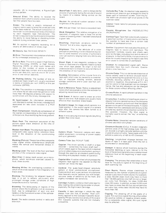cassette. (2) In microphones, a Figure-Eight pickup pattern.

Binaural Effect: The ability to localize the direction from which a sound comes due to the fact that people have two ears.

Binder: The binder is usually composed of organic resins used to bond the oxide particles to the base material. The actual composition of<br>the binder is considered proprietary information **Break Elongation:** The relative elongation of a the binder is considered proprietary information by each magnetic tape manufacturer. The binder is required to be flexible and still maintain the ability to resist flaking or shedding binder material during extended wear passes.

Bit: As applied in magnetic recording, bit is usually an abbreviation of binary digit.

Bit Density: See PACKING DENSITY.

Bit Error: The incorrect interpretation of a binary bit by a message processing unit.

Bit Error Rate: This term is used in High Density Digital Recording (HDDR), or High Density forms on that area of a magnetic head's surface Recording (HDR), or other such names and<br>refers to the number of errors a specific magnetic tape may contain, and is expressed in errors per data bits, such as one in  $10<sup>6</sup>$  or one error in one million data bits.

Bit Packing Density: The number of bits re- corded per track length unit, usually expressed in terms of kilobits per inch (KBPI) or bits per millimeter (BPMM).

Bit Slip: The condition in a message processing<br>unit where the bit rate clock has gained (or lost) more than 180 degrees phasing with respect to synchronism with the binary message bits.

Bit Synchronizer: An information processing effective than recorders' erase heads unit intended to extract the binary message and associated bit rate clock included in a PCM Burned-in Image: An image which persists in a signal.

the signals corresponding to the black regions of the picture, thus modifying the tonal gradient.

Black Peak: The maximum excursion of the picture signal black direction at the time of observation.

Blacker-than-Black: The amplitude region of the<br>composite video signal below reference black Camera Chain: Television camera and assocomposite video signal below reference black level in the direction of the synchronizing pulses.

Blanking (Picture): The portion of the composite video signal whose instantaneous amplitude makes the vertical and horizontal retrace invisible.

Blanking Level: The level of the front and back porches of the composite video signal.

Blast Filter: A dense mesh screen on a microphone, which minimizes overload caused by loud, close sounds.

Bleeding Whites: An overloading condition in Cardioid: The quasi-heart-shaped sensitivity<br>which white areas appear to flow irregularly into pattern of most unidirectional microphones. which white areas appear to flow irregularly into black areas

tape in a roll to adhere, particularly after prolonged storage under conditions of high temperature and/or humidity.

Blooming: The defocussing of regions of the picture where the brightness is at an excessive level, due to enlargement of spot size and Cassette: A tape cartridge in which the tape<br>halation of the fluorescent screen of the cathode- passes from one hub to another. Most comhalation of the fluorescent screen of the cathoderay picture tube.

Board: The audio console control in radio and television.

Board Fade: A radio term, used to designate the process of gradually fading the volume of sound by means of a master fading control on the board.

Bounce: An unnatural sudden variation in the brightness of the picture.

BPI: Bits per linear inch down a recorded track.

specimen of magnetic tape or base film at the instant of breaking when it has been stretched at a given rate.

Breathing: Amplitude variations similar to number of permanent errors. "bounce" but at a slow, regular rate.

perception permitting it to be classed as equivalent to some member of a series of achromatic color perceptions ranging from very dim to very bright.

Brown Stain: A non-magnetic substance that over which tape passes. Its origin is not well understood but it is known to occur primarily in the presence of low humidity.

Buckling: Deformation of the circular form of a tape pack which may be caused by a combinatape pack which may be caused by a combina-<br>tion of improper winding tension, adverse specially deciding whether R-Y and B-Y are storage conditions and/or poor reel hub configuration.

Built-in Reference Tones: Refers to adjustment tones which are available within the recorder for adjusting record level and bias.

Bulk Eraser: A device used to erase an entire<br>tape at one time. Bulk erasers are usually more Chroma Key: A method of inserting an object or tape at one time. Bulk erasers are usually more

tube after the camera has been turned to a<br>Black Compression: Amplitude compression of different scene.

Buss: A wire carrying line level signals (anything signal. greater than mike level).

# C

ciated equipment, consisting of power supply and sync generator.

Camera Tube: See PICKUP TUBE.

Capstan: The driven spindle or shaft in a tape  $\frac{a \cup c \cup c}{c}$ <br>recorder — sometimes the motor shaft itself — Clamper:  $recorder$  - sometimes the motor shaft itself - which rotates against the tape (which is backed up by a rubber pressure or pinchroller), pulling it<br>through the machine at constant speed during through the picture signal at some predetermined recording and playback modes of operation.

Capstan Idler: A rubber wheel which presses the magnetic tape against the capstan so that the capstan can move the tape.

Blocking: The tendency for adjacent layers of and narrower areas of sensitivity at the front, and Cardioid: The quasi-heart-shaped sensitivity Hypercardioid and supercardioid microphones. have basically similar patterns, but with longer, slightly increased rear sensitivity.

> Cartridge: A plastic container that holds tape for easy loading into a matching recorder or player, especially the Eight-track Cartridge.

Cassette: A tape cartridge in which the tape<br>passes from one hub to another. Most com-<br>Clipping: The shearing off of the peaks of a monly applied to the Compact Cassette developed by Philips, but also to a variety of Micro and Mini Cassette systems that are not mutually compatible.

Cathode-Ray Tube: An electron tube assembly containing an electron gun arranged to direct a beam upon a fluorescent screen. Scanning by the beam can produce light at all points in the scanned raster.

Celanar: Trade name for polyester produced by Celanese.

Ceramic Microphone: See PIEZOELECTRIC MICROPHONE.

Certified Tape: Tape that is electrically tested on <sup>a</sup>specified number of tracks and is certified by the supplier to have less than a certain total

Brightness: This is the attribute of a color<br>perception permitting it to be classed as equiva-<br>equipment normally counts and charts each Certifier: Equipment that evaluates the ability of magneic tape to record and reproduce. The error on the tape, including level and duration of dropouts. In the Certify Mode, it stops on error to allow for visually inspecting the tape to see if the error cause is correctible or permanent.

> Channel: An independent signal path. Stereo recorders have two such channels. Quadraphonic ones have four.

> Chroma Comp: This is a deliberate distortion of colors usually used to achieve unusual matchpositive or negative), the amplitude of R-Y, B-Y just for colors in that quadrant can be changed; hence, the hue and saturation can be changed for those colors without affecting others.

> Chroma Flutter: A rapid coherent variation in the chroma saturation.

of another camera's picture such that the object<br>Burned-in Image: An image which persists in a fixed position in the output signal of a camera. By videos from the camera are sent directly to the objects from one camera's picture into the scene appears to be part of the second scene. R, G and B videos from the camera are sent directly to the chroma key section of a production switcher for this purpose. However, the blue signal is normally used to extract the "key" or switching

> Chroma Noise: Unwanted random variations of chroma saturation and phase.

> Chromium Dioxide (Cr02): A modern magnetic particle oxide of the high energy type. Chromi um dioxide is a highly acicular particle with the crystal structure of rutile. Tapes made with Cr02 exhibit a coercivity of 425 to 475 Oersteds.

> Cinching: Longitudinal slippage between the layers of tape in a tape pack when the roll is accelerated or decelerated.

> Clamper: A device which functions during the horizontal blanking or sync interval to fix the reference level at the beginning of each scan- ning line.

> Clamping: The process that establishes a fixed level for the picture signal at the beginning of each scanning line.

> Clean Rooms: Rooms whose cleanliness is measured by the number of particles of a given size per cubic foot of room volume. For example, a class 100,000 clean room may have no more than 100,000 particles one-half micron or larger per cubic foot. Similarly, for class 10,000 and class 100 rooms. In addition, a class 10,000 room may have no more than 65 five-micron particles per cubic foot, while class 100,000 may have no more than 700.

> signal. For a picture signal this may affect either the positive (white) or negative (black) peaks. For a composite video signal, the sync signal may be affected.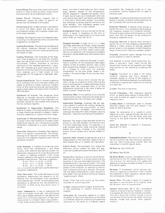Close Miking: Placing a mike close to the sound source in order to pick up mainly direct sound and avoid picking up reverberant sound.

Closed Circuit: Television program that is distributed, usually by cable, to specific re ceivers but not telecast to the public.

Closed -loop Drive: A tape transport mechanism in which the tape's speed and tension are controlled by contact with a capstan at each end of the head assembly.

Coating: The magnetic layer of a magnetic tape, consisting of oxide particles held in a binder that is applied to the base film.

Coating Resistance: The electrical resistance of the coating measured between two parallel electrodes spaced a known distance apart along the length of tape.

Coating Thickness: The thickness of the magnetic coating applied to the base film. Modern tape coatings range in thickness from 170 to 650 microinches. Coating thickness is normally optimized for the intended application. In general, thin coatings give good resolution at the thick coatings give a high output at long wavelengths at the expense of degraded resolution.

Cobalt Doped Oxide: This is normally a gamma ferric oxide particle which has been doped with cobalt to achieve a higher coercivity. Modern forms of this oxide are acicular and have been used to make tapes with coercivities in excess of trequencies contained in the in<br>the below a certain threshold level. 1000 Oersteds.

Coefficient of Friction: The tangential force required to maintain (dynamic coefficient) or initiate (static coefficient) motion between two surfaces divided by the normal force pressing the two surfaces together.

Coefficient of Hygroscopic Expansion: The relative increase in the linear dimension of a tape or base material per percent increase in relative humidity measured in a given humidity range.

Coefficient of Thermal Expansion: The relative increase in the linear dimension of a tape or base material per degree rise in temperature (usually Fahrenheit) measured in a given temperature range.

Coercivity: Measured in Oersteds, the measure- ment of a magnetic characteristic. The demagnetizing force required to reduce the magnetic induction in a magnetic material to zero from its saturated condition.

Color Masking: A method of correcting color errors which are fundamental in any three primary color additive reproducing system, by electrically changing the R, G and B signals with a matrix or masking amplifier which mixes (usually subtracts) the signals in a very precise predetermined amount. The form is generally:

 $R$  out = R in + a (G-R) + b (R-B)  $G$  out = G in + c (G-R) + d (B-G)

 $B \text{ out } = B \text{ in } + e (R - B) + f (B - G)$ 

a, b, c, d, e and f are referred to as the masking or correction coefficients.

Color Saturation: This is the attribute of color perception determining the degree of its difference from the achromatic color perception most resembling it. NOTE: An achromatic color perception is defined as one not possessing a hue/color. In other words, how much "color" in an object.

Color Temperature: A way of specifying the color of so-called "white light." Any light source that uses a heated element for the light emitter gives off a continuous spectrum of light emissions similar to a heated "black body radiator." In fact, when we say that a lamp is 3200°K (color temp), we mean it emits light just like a "black body radiator" heated to this temperature. (NOTE: Degrees K = degrees Centigrade + 273.) A light source such as a fluorescent lamp can only have an equivalent coor temp, which means it looks like a "black body radiator" to a human eye, although its actual spectral emissions are quite different. This difference causes color fidelity problems for a color camera.

Combination Tone: A tone produced by the ear which is equal in frequency to the sum or difference of the frequencies of two loud tones down from the flat section which differ by more than 50 Hz. frequency response curve. which differ by more than 50 Hz.

Compact Cassette: A small  $(4 \times 2\frac{1}{2} \times \frac{1}{2})$  tape cartridge developed by Philips, containing tape about 1/7" wide, running at 1-7/8 ips. Recordings are bidirectional, with both stereo tracks adjacent for compatibility with monophonic cassette recorders, whose heads scan both stereo tracks at once.<br>Compression: An undesired decrease in ampli-

expense of reduced output at long wavelengths; lorid change in input level, For example, thick continue a high output at long compression of the sync pulse means a detude of a portion of the composite video signal relative to that of another portion. Also, a less than proportional change in output of a circuit for a change in input level. For example, crease in the percentage of sync during transmission.

> Compressor: A device which reduces the dynamic range of a signal by either reducing the level of loud signals or increasing the level of soft signals when the combined level of all the frequencies contained in the input is above or

> Condenser Mike: A microphone which converts sound pressure level variations into variations in capacitance and then into electrical voltage.

> Conductive Coatings: Coatings that are specially treated to reduce the coating resistance, and thus prevent the accumulation of static electrical charge. Untreated, non-conductive coatings may become highly charged, causing transport, noise and dust-attraction problems.

> Contrast: The range of light and dark values in a picture, or the ratio between the maximum and minimum brightness values. For example, in a high contrast picture, there would be intense blacks and whites, whereas a low contrast picture would contain only various shades of orey

> Contrast Ratio: Related to gamma law and is a measurement of the maximum range of light to dark objects that a T.V. system can reproduce.

> Control Room: The enclosed room where the electronic control system for radio and television are located and where the director and TD sit.

> Coring: Both aperture correction and enhancement can be cored. It involves preventing any boosting of very low level edge transitions. The threshold point is the coring control. The more the coring is increased, the more the extra noise added by the enhancer (or aperture corrector) high frequency boosting is reduced. Of course, the fine detail enhancement is also reduced or eliminated. Too high levels of coring can cause a "plastic picture" effect.

> Crawl: Titles that crawl slowly up the screen, mounted on a revolving drum.

> Credits: Listing of actors, singers, directors, etc., in title preceding or directly following the program.

> Cross-play: By cross-play capability is meant the ability to record and reproduce on the same or a different machine; record at one speed and reproduce at the same or a different speed;

accomplish the foregoing singly or in any combination without readjustment for tape or transport type.

Crossfade: To fade out one song or sound while fading in another, so that at some points during the crossfade both sounds are audible.

Crossover Network: A device which divides a signal into two or more frequency bands before low frequency outputs of a crossover network. The level of each output at this frequency is 3 dB down from the flat section of the crossover's

Crossover Network: A device which divided a signal into two or more frequency bands before feeding it either directly or through separate power amps to the separate limited frequency range drivers which make up a speaker system.

Crosstalk: Undesired signal leakage from one sound channel or track to another.

Cue Control: A switch which temporarily disables a recorder's Tape Lifters during fast forward and rewind so the operator can judge what portion of the recording is passing the heads.

Cupping: Curvature of a tape in the lateral direction. Cupping may occur because of improper drying or curing of the coating or because of differences between the coefficients of thermal or hygroscopic expansion of coating and base film.

Current: The flow of electrons.

Cut-off Frequency: That frequency beyond which no appreciable energy is transmitted. It may refer to either an upper or lower limit of a frequency band.

Cutting Head: A transducer used to convert electrical signals into hills and valleys in the sides of record grooves.

Cycle: An alternation of a waveform which begins at a point, passes through the zero line and ends at a point with the same value and moving in the same direction as the starting point.

Cycle Per Second: A measure of frequency, equivalent to Hertz.

# $\Box$

Damped Oscillation: Oscillation which, because the driving force has been removed, gradually dies out, each swing being smaller than the preceding in smooth regular decay.

DC Erasure: See ERASURE.

DC Noise: See NOISE.

DC Servo Motor: A motor, the speed of which is determined by the DC voltage applied to it and has provision for sensing its own speed and applying correcting voltages to keep it running at a certain speed.

De-esser: A compressor which reduces sibilance by triggering compression when it senses the presence of high frequency signals above the compression threshold.

Decay Time: The time it takes for a signal to decrease to one -millionth of its original value (60 dB down from its original level).

Decibel: Abbreviated "dB" or "db", it is a relative measure of signal or sound intensity or "volume." It expresses the ratio of one intensity to another. One dB is about the smallest change in sound volume that the human ear can detect. (Can also express voltage and power ratios logarithmically.)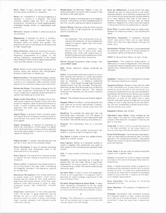Deck, Tape: A tape recorder that does not include power amplifiers or speakers.

Defect: An imperfection in the tape leading to a variation in output or a dropout. The most common defects take the form of surface projections, consisting of oxide agglomerates, imbedded foreign matter, or redeposited wear products.

Definition: Degree of detail in television picture transmission.

Degaussing: A process by which a unidirectional magnetic field is removed from such transport parts as heads and guides. The presence of such a field causes noise and a loss of high frequencies.

Delay Distortion: Distortion resulting from non- uniform speed of transmission of the various frequency components of a signal; i.e., the various frequency components of the signal have different times of travel (delay) between the input and the output of a circuit.

Detail: Refers to the most minute elements in a picture which are distinct and recognizable. Similar to Definition or Resolution.

Differential Gain: The amplitude change, usually of the 3.6 me color subcarrier, introduced by the overall circuit, measured in dB or percent, as the subcarrier is varied from blanking to white level.

Differential Phase: The phase change of the 3.6 me color subcarrier introduced by the overall circuit, measured in degrees, as the subcarrier is varied from blanking to white level.

Digital Audio Recording: A system which con verts audio signals into digital words which are stored on magnetic tape for later reconversion to audio, in such a manner that dropouts, noise, distortion and other poor tape qualities are eliminated.

Digital Delay: A process which converts audio into digital form for storage in a memory bank for reconversion into audio after a predetermined time passes

Digital Recording: A method of recording in which the information is first coded in a digital form. Most commonly, a binary code is used and recording takes place in terms of two discrete values of residual flux.

Digital System: A system utilizing devices that can be in only one of two possible states

Direct Recording: A type of analog recording which records and reproduces data in the<br>electrical form of its source.

Direct Sound: The sound which reaches a mike made.<br>or listener without hitting or bouncing off any obstacles.

Direct to Disk: A method of recording directly to the cutting head of the disk cutter, eliminating the magnetic recorder in the sequence, typified by no tape hiss.

Directional Microphone: One whose sensitivity to sound varies with direction. Such microphones can be aimed so their most sensitive sides face the sound source, while their least sensitive sides face sources of noise or other undesired sound. See CARDIOID, FIGURE **EIGHT** 

Dispersion: Distribution of the oxide particles within the binder. A good dispersion can be defined as one in which equal numbers of particles would be found in equal, vanishingly small volumes sampled from different points within the coating.

Displacement of Porches: Refers to any difference between the level of the front porch and the level of the back porch.

Dissolve: A gradual overlapping of one image by another, followed by the slow disappearance of the first. Usually used as a bridge to a sequence.

Distant Miking: Placing a mike far from a sound source so that a high proportion of reflected sound is picked up.

### Distortion:

3rd Harmonic: The introduction of an un- wanted 3rd harmonic of the fundamental signal (3 octaves higher than the fundamental signal).

Intermodulation (IM): Distortion that results when two or more pure tones<br>produce new tones with frequencies representing the sums and differences of the original tones and their harmonics.

called Miller Code.

DNL: Noise reduction system produced by Philips.

Dolby: A proprietary electronic device or circuit that reduces the amount of noise (principally tape hiss) intoduced during the recording pro  $cess$  by boosting  $-$  in carefully controlled amounts - the strength of weak high frequency signals before they are recorded. During playback the signals (and the noise) are cut back by an exactly equivalent amount. The original dynamics are restored, but the noise is reduced by 10 dB.

Domain: The smallest known permanent magnet.

Doppler Effect: An effect in which the pitch of a tone rises as its source approaches a listener, and falls as the source moves away from the listener.

Doubling: To overdub the same part that has previously been recorded, with the object of making the part appear to have been performed by several instruments playing simultaneously.

Dropout: The momentary loss of a recorded signal.

Dropout Count: The number of dropouts detected in a given length of magnetic tape.

Dry Signal: A signal without any added effects, especially without reverb.

Dual Capstan: Refers to a transport system in which a capstan and pinchroller are used on both sides of the recording and playback head system.

Dub: To copy another recording, or the copy so

Durability: Usually expressed as a number of passes that can be made before a significant degradation of output occurs; divided by the corresponding number that can be made using a reference tape.

Dynamic Mike: A mike in which the diaphragm moves a coil suspended in a magnetic field to generate an output voltage proportional to the sound pressure level.

Dynamic Range/Signal-to-Noise Ratio: In magnetic recording, considered to be the range measured in dB from the noise floor to the point at which 3.0% of 3rd harmonic distortion occurs.

### E

<sup>E</sup>-Value: The difference in inches between the radii of the outside layer of tape in a roll and the outside edge of the reel flange.

Echo (or Reflection): A wave which has been reflected at one or more points in the transmission medium, with sufficient magnitude and time difference to be perceived in some manner<br>as a wave distinct from that of the main or primary transmission. Echoes may be either leading or lagging the primary wave and appear in the picture monitor as reflections or "ghosts."

Echo Plate: A metal plate used to create rever beration by inducing waves in it by bending the metal.

Electronic Crossover: A crossover network which uses active filters and is used before rather than after the signal passes through the power amp.

Electrostatic Pickup: Pickup of noise generated by electrical sparks such as those caused by fluorescent lights and electrical motors.

ENRZ: Enhanced Non -Return to Zero (Code).

DM-M: Delayed Modulation Mark (Code). Also Equalization: The selective amplification or attenuation of certain frequencies. Also refers to recognized industry standards for recording and reproducing "characteristics" (such as the NAB Standard).

> Equalizer: A device which is designed to change the frequency balance of a signal.

> Equalizing Pulses: Pulses of one-half the width of the horizontal sync pulses which are transmitted at twice the rate of the horizontal sync pulses during the blanking intervals immediately preceding and following the vertical sync pulses. The action of these pulses causes the vertical deflection to start at the same time in each interval, and also serves to keep the horizontal sweep circuits in step during the vertical blanking intervals immediately preceding and following the vertical sync pulse.

# Equipment Noise: See NOISE.

Equivalent Input Noise: Noise created by the input stage of an amplifier which appears in the output of the amplifier increased in level by the gain of the amp.

Erase Adj.: A control which adjusts the coupling of the bias oscillator to the erase head in a manner which purifies the oscillator's waveform.

Erase Field Strength: The minimum initial amplitude of a decreasing alternating field (normally applied in the longitudinal direction) required to reduce the output of a given recorded signal by a specified amount.

Erase Head: A device used to remove recorded signals from magnetic tape.

Erasure: A process by which a signal recorded on a tape is removed and the tape made ready for rerecording.

Error: In digital recording, either a dropout or a noise pulse that exceeds a certain limit is usually termed an error. In video and instrumentation recording, an error has no commonly accepted meaning but is defined in relation to the particular system requirements.

Error Correction: The process of correcting detected bit errors.

Error Detection: The process of detecting bit errors.<br>Evaluator: Equipment that evaluates physical

and magnetic quality of tape, usually provided as an adjunct to a winder/cleaner. In contrast to a certifier, it does not stop when it detects an error.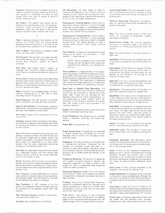Expander. A device which increases the dynamic soft signals or increasing the level of loud signals when the input is above or below a certain threshold level.

Eye Pattern: The pattern that results, as displayed on an oscilloscope, from the superpositioning of "one's" and zero's" in a digital data sequence, when the time base of the oscilloscope is synchronized to the bit rate clock.

F

Fade: A gradual change in the intensity of the picture. In a FADE OUT, the picture grows gradually darker and to black. In a FADE IN, the picture gradually appears out of the darkness.

Fade to Black: The picture is gradually faded down until the screen is black.

Fast Forward: The provision on a tape recorder permitting tape to be run rapidly through it in normal play direction, usually for search purposes.

Feed Reel: Also called "stock," "supply" or "storage" reel. The reel on a tape recorder from which tape unwinds as the machine records or plays.

the technique of dual coating with both a layer of gamma ferric oxide and a layer of chromium dioxide. An intermediate level bias position used only for ferrichrome tapes.

Field: One-half of a complete picture (or frame) interval, containing all of the odd or even scanning lines of the picture.

Field Frequency: The rate at which a complete field is scanned, nominally 60 times a second.

Figure -8 Microphone: A microphone (usually a ribbon type) whose sensitivity is greatest to front and rear, and weakest to both sides.

Film Loop: A piece of film, quite short, which is continuous.

Flanging: Another name for phasing. Originally, the method of phasing where phase was varied by resting your thumb on the flanges of the reel to slow it down.

Flash: Momentary interference to the picture of a duration of approximately one field or less, and message and to sufficient magnitude to totally distort the ponding words. of sufficient magnitude to totally distort the picture information. In general, this term is used alone when the impairment is of such short duration that the basic impairment cannot be recognized. Sometimes called "Hit.

Flat Field: As used herein, the entire area viewed by a television camera with the viewed area being uniformly white or any single specified color or any shade or grey.

Flutter: Distortion which occurs in sound reproduction as a result of undesired speed variations during recording or reproducing. Flutter occur ring at frequencies below approximately 6 Hz is termed "wow."

Flux: Magnetic current generated by a record heat, stored on magnetic tape, and picked up by the playback head. Also the magnetic field that exists between the poles of a magnet.

Flux Transition: A 180° change in the flux pattern of a magnetic medium brought about by the reversal of the magnetic poles within the medium.

Flux Transition Density: Number of flux transitions per track length unit.

Fly -Back: See HORIZONTAL RETRACE.

range of a signal by either reducing the level of modulate the frequency of a "carrier" having a soft signals or increasing the level of loud frequency much higher than any spectral com-FM Recording: The data signal is used to modulate the frequency of a "carrier" having a ponent of the data signal. Permits the recording of DC or very low signal frequencies.

> Following (or Trailing) Blacks: A term used to describe a picture condition in which the edge same as the tape's. following a white object is overshaded toward black. The object appears to have a trailing black border. Also called "trailing reversal.

Following (or Trailing) Whites: A term used to describe a picture condition in which the edge following a black or dark grey object is shaded toward white. The object appears to have a trailing white border. Also called "trailing reversal.

Foot Candles: A measure of the amount of light falling on an object (its illumination). 1 foot candle = 1 lumen per sq. ft.

NOTE: This is a measure only of the light energy that can be seen by the human eye (becoming an obsolete unit; replaced by the Lux).

Ferrichrome: A relatively recent word describing but amberts, regardless of viewing distance.<br>the technique of dual coating with both a laver of Again, remember that brightness is measured Foot Lamberts: A measurement of the bright ness of an object. If 100 foot candles are illuminating a 60% white chip, then its brightness will be 60 foot lamberts, regardless of viewing distance. over the same energy response of a human eye (becoming obsolete unit; replaced by the Nit).

> Four -Track or Quarter -Track Recording: The arrangement by which four different channels of sound may be recorded on quarter-inch-wide audio tape. These may be recorded as four separate and distinct tracks (monophonic) or say office. This is due to lack of the record or two stereo pairs of tracks. Tracks 1 and 3 are recorded in the "forward" direction of a given reel, and Tracks 2 and 4 are recorded in the "reverse" direction.

Frame: One complete picture consisting of two fields of interlaced scanning lines.

Frame Frequency: The rate at which a complete frame is scanned, nominally 30 frames per second.

Frame Roll: A momentary roll.

Frame Synchronizer: Processing unit intended to detect frames and subframes of a binary message and to deliver the included corres-

Frequency: The rate of vibration of an electrical or mechanical oscillation. Measured by the number of complete cycles executed in 1 second. In audio terminology, frequency range is considered to be from 20 cycles per second, or 20 Hertz, up to 20,000 cycles per second, or 20 Kilohertz.

Frequency Response: The variation of response with respect to signal frequency. Usually, the frequency response of a tape is given in dB relative to that of a reference tape measured under the same conditions.

Frequency Response Curve: The curve relating the variation in output with frequency of a piece of equipment or magnetic tape when the input is kept constant.

Fringing: The pickup of extra bass frequency signals by a playback head when reproducing a signal recorded by a head with a wider track configuration, such as playing a full track tape with a half-track head.

Front Porch: That portion of the composite picture signal which lies between the leading edge of the horizontal blanking pulse and the leading edge of the corresponding sync pulse.

Front-to-Back Ratio: The ratio between a cardioid microphone's sensitivity to sounds arriving from the front and from the rear, a measure of its directionality.

FullTrack Recording: Recording monophonically on one track whose width is essentially the

G

Gain: The ratio of output power to the input power for a system or component. Usually expressed in decibels.

Gamma Ferric Oxide: The common magnetic constituent of magnetic tapes in the form of a dispersion of fine acicular particles within the coating.

Gap: The space between the pole pieces of a tape head.

Gap Depth: The dimension of the gap measured in the direction perpendicular to the surface of a head.

Gap Length: The dimension of the gap of a head measured from one pole face to the other. In longitudinal recording, the gap length can be defined as the dimension of the gap in the direction of tape travel.

Gap Loss: The loss in output attributable to the finite gap length of the reproduce head. The loss increases as the wavelength decreases.

Gap Scatter: The phenomenon of the gaps in a multitrack head not being in a straight line.

Gap Smear: This is due to lack of head wear and reproduce gap as the result of flowing of the pole face material in the direction of tape motion.

Gap Width: The dimension of the gap measured in the direction parallel to the head surface and pole faces. The gap width of the record head governs the track width. The gap widths of reproduce heads are sometimes made appreciably less than those of the record heads to minimize tracking errors.

Gauss: The metric unit of magnetic flux density equal to one Maxwell per square centimeter.

Generation Loss: The increase in noise level which occurs each time a signal is recorded on tape.

Geometric Distortion: Any aberration which causes the reproduced picture to be geometrically dissimilar to the perspective plane projection of the original scene.

Glitch: A form of low frequency interference, appearing as a narrow horizontal bar moving vertically through the picture. This is also observed on an oscilloscope at field or frame rate as an extraneous voltage pip moving along the signal at approximately reference black level.

Gloss Level: A shiny surface imparted to the magnetic coating due to calende ring.

Graphic Equalizer. An equalizer which indicates its frequency response graphically through the position of its controls. When the controls are in a straight line at the 0 position, the response is flat.

Gray Scale: A scale of 10 from TV black to TV white indicating the shades of gray a camera can see at any one time and to which a camera can be adjusted. A gray scale adjustment of 7 is good.

Green Tape: An abrasive tape used to clean and lap heads that are unevenly worn, stained, scratched, etc. Should be used with caution and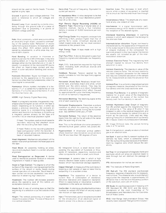should not be used on ferrite heads. This also applies to grey tape.

Ground: A point of zero voltage potential. The point in reference to which all voltages are measured.

Ground Loop: Hum caused by currents circulating through the ground side of a piece of equipment due to grounding it at points of different voltage potential.

# H

Halo: Most commonly, a dark area surrounding an unusually bright object, caused by overloading of the camera trube. Reflection of studio cobalt doped oxide are the two lights from a piece of jewelry for example, might examples at the present time. lights from a piece of jewelry, for example, might cause this effect. With certain camera tube operating adjustments, a white area may sur- round dark objects.

Hard Banding: A variation in thickness or elasticity across the width of the tape. it may be a coating defect, or it may be caused by stretch damage either during manufacture or in use. It results in a variation of the recovered RF due to the effect on head -to-tape contact and may result in color saturation banding and velocity errors.

Harmonic Distortion: Signal nonlinearity characterized by the appearance in the output of harmonics other than the fundamental, when the input signal is sinusoidal.

Harmonics: Whole number multiples of a frequency. F x 1 is called the fundamental or first harmonic; F x 2 is the second harmonic; F x 3 is the third harmonic; etc.

HDDR: High Density Digital Recording.

Head: In a magnetic recorder, the generally ring shaped electromagnet across which the tape is drawn. Depending on its function, it either (a) erases a previous recording, (b) converts an electrical signal to a corresponding magnetic pattern and records it on the tape, or (c) picks up a magnetic pattern already on the tape and converts it to an electrical playback signal.

> 2 Head: The system used on most cassette recorders, requiring that playback occur after the recording has been made.

> 3 Head: Refers to the recording/playback head configuration within the recorder. A 3 -head system allows simultaneous playback of recorded material.

Head Alignment: Mechanical adjustment of the spatial relationships between the head gaps and the tape.

Head Block: An assembly holding an erase, record and playback head in a certain physical alignment.

Head Demagnetizer or Degausser. A device used to neutralize possible residual or induced magnetism in heads or tape guides.

Head-to-Tape Contact: The degree to which the surface of the magnetic coating approaches the surface of the record or replay heads during normal operation of a recorder. Good head -totape contact minimizes separation loss and is essential in obtaining high resolution.

Headroom: The number dB increase possible above the operating level (0 VU) before un- acceptable distortion occurs.

Heads Out: A way of winding tape so that the beginning of a selection is on the outside of the reel.

Height: The vertical positioning of a head with respect to a piece of tape. The size of the picture in a vertical direction.

Hertz (Hz): The unit of frequency. Equivalent to **Insertion Loss:** The decrease in level which cycles per second.

Hi Impedance Mike: A mike designed to be fed into an amplifier with input impedance greater than 20 or 50 ohms.

High Density Digital Recording (HDDR) on Magnetic Tape: Recording of digital data on a magnetic medium, having a flux transition density in excess of 15,000 transitions per inch per track.

High Energy Oxide: Any magnetic oxide particle exhibiting a BsHc product higher than that of gamma ferric oxide. Chromium dioxide and cobalt doped oxide are the two most common

High Energy Tape: A tape made with a high energy oxide.

High Pass Filter: A device designed to pass high frequency signals and attenuate low frequency signals.

High, Cr02: bias position required for high bias tapes, including both chromium dioxide and cobalt modified.

Holdback Tension: Tension applied by the supply turntable to hold the tape firmly against the heads.

Horizontal (Hum) Bars: Relatively broad horizontal bars, alternately black and white, which extend over the entire picture. They may be stationary, or may move up or down. Sometimes referred to as a "venetian blind" effect. Caused by approximate 60 cycle interfering frequency, or one of its harmonic frequencies.

Horizontal Blanking: The blanking signal at the end of each scanning line.

Horizontal Displacements: Describes a picture condition in which the scanning lines start at relatively different points during the horizontal scan. See SERRATIONS and JITTER.

Horizontal Retrace: The return of the electron beam from the right to the left side of the raster after the scanning of one line.

Hue: This is the attribute of a color perception denoted by blue, green, yellow, red, purple, etc.

Hypercardioid: A directional pickup pattern where maximum discrimination occurs at more than 90 and less than 180 degrees off axis.

IC: Integrated Circuit, a small device incorporating the equivalent of hundreds or thousands of transistors, capacitors, resistors and other components within a small, solid block.

 $\mathbf{I}$ 

Iconoscope: A camera tube in which a high velocity electron beam scans a photo -emissive mosaic which has electrical storage capability.

Impact Strength: A measure of the work done in breaking a test sample of tape or base film by subjecting it to a sudden stress.

Impedance: The opposition of a device to current flow. A combination of resistance, inductive reactance and capacitive reactance. When no capacitance or inductance is present, impedance is the same as resistance.

Inertia Idler: A rotating guide attached to a heavy flywheel to reduce the effect of varying supply reel friction on tape speed.

Input: The terminals, jack or receptacle provided for the introduction of an electrical signal or electric power into a device or system.

occurs when a piece of equipment is inserted into a circuit so that the sinal must flow through it.

Instantaneous Value: The amplitude of a wave form at any one instant of time.

Interference: In a signal transmission path, extraneous energy which tends to interfere with the reception of the desired signals.

Interlaced Scanning (Interlace): A scanning process in which each adjacent line belongs to the alternate field.

Intermodulation distortion: Signal nonlinearity characterized by the appearance of frequencies in the output equal to the sums and differences of integral multiples of the component frequencies present in the input signal. Harmonics are usually not included as part of the intermodulation distortion.

Intrinsic Coercive Force: The magnetizing field strength needed to reduce flux density from saturation to zero.

Intrinsic Coercivity: The maximum value of the intrinsic coercive force, The intrinsic coercivity is a basic magnetic parameter for the material and requires complete saturation of the sample for its measurement as does the saturation flux density.

Intrinsic Flux: In a uniformly magnetized sample of magnetic material, the product of the intrinsic flux density and the cross-sectional area.

Intrinsic Flux Density: In a sample of magnetic material for a given value of the magnetizing field strength, the excess of the normal flux density over the flux density in vacuum.

Intrinsic Hysteresis Loop: Graph of magnetic flux (B) plotted against the magnetizing force (H) producing it. The value of B when H has dropped to zero is the residual magnetism, and the reverse force needed to reduce B to zero is known as the coercivity. Units used are: Magnetizing Force (H) in Oersteds and Flux Density (B) in Gauss. Coercivity is measured in Oersteds.

IO: Image Orthicon tube; the picture forming tube in a TV camera.

Ion: A charged atom, usually an atom of residual gas in an electron tube.

Ion Spot: A spot on the flurorecent surface of a cathode ray tube, which is somewhat darker than the surrounding area because of bombardment by negative ions which reduce the sen sitivity.

Ion Trap: An arrangement of magnetic fields and apertures which will allow an electron beam to pass through but will obstruct the passage of ions.

IPS: Abbreviation for inches per second.

IRE: The Institute of Radio Engineers.

IRE Roll-off: The IRE standard oscilloscope<br>frequency response characteristic for measurement of level. This characteristic is such that at 2 megacycles the response is approximately 3.5 dB below that in the flat (low frequency) portion of the spectrum, and cuts off slowly.

IRE Scale: An oscilloscope scale in keeping with IRE Standard 50, IRE 23.S1 and the recommendations of the Joint Committee of TV Broadcasters and Manufacturers for Coordination of Video Levels.

IRIG: Inter-Range Instrumentation Group. Has recently been renamed "Range Control Council."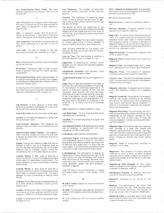Iron Oxide/Gamma Ferric Oxide: The most popular oxide particle produced from an oxide of pure iron.

J

Jack: Receptacle for a plug connector leading to<br>the input or output circuit of a tape recorder or other piece of equipment. A jack matches a specific plug.

Jitter: A tendency toward lack of synchronization of the picture. It may refer to individual lines in the picture or to the entire field of view.

Jitter Amplitude: The variation in phase of the bit rate clock expressed as a percent of the bit period.

Jitter Rate: The rate of change of the jitter amplitude expressed as a frequency in Hertz.

### K

KHz: Abbreviation for kilohertz, or one thousand cycles per second.

Kinescope: Frequencly used to mean picture tubes in general However, this name has been copyrighted.

Kinescope Recording: Motion pictures taken of a program photographed directly from images on the face of a kinescope tube. Called a KINE. A television transcription.

A motion picture film recording of the presentation shown by a picture monitor. Also known as Television Recording (TVR), Vitapix, etc.

L

Lap Dissolve: A slow dissolve in which both pictures are actually overlapped for a very brief period of time. Same as dissolve.

Lateral Direction: Across the width of the tape.

Lavalier: A microphone designed to hang from the performer's neck.

Layer-to-Layer Adhesion: The tendency for adjacent layers of tape in a roll to adhere to one another.

Layer -to -Layer Signal Transfer: The magnetization of a layer of tape in a roll by the field from a nearby recorded layer, sometimes referred to as "print-thru.

Leader: Special non-magnetic tape that can be spliced to either end of a magnetic tape to prevent damage and possible loss of recorded material and to indicate visually where the recorded portion of the tape begins and ends.

Leading Blacks: A term used to describe a picture condition in which the edge preceding a white object is overshaded toward black. The object appears to have a preceding or leading black border

Leading Whites: A term used to describe a picture condition in which the edge preceding a black object is shaded toward white. The object appears to have a preceding or leading white border.

Leakage: A term describing the signal picked up by a mike which is intended to pick up other signals only.

Length: The physical length of the tape wound on a reel or on a hub, varying from 213 in a C45 cassette to 9200 in a roll of instrumentation tape.

Limiter: A compressor with a ratio greater than or equal to 10:1.

Line Frequency: The number of horizontal scans per second, nominally 15,750 times per second.

Linearity: The uniformity of scanning speed which primarily affects the accuracy of geometry along a horizontal or vertical line through the picture center.

The extent to which the magnitude of the reproduced output is directly proportional to the magnitude of the signal applied to the input of the recorder. good linearity is synonymous with low distortion.

Liners/Friction Plates: Friction controlling plastic sheets used inside a Philips cassette to control winding uniformity and torque level.

Live: Actually presented in the studio, with cameras feeding out to the lines as the performance is done.

Lock -up Time: The time before a machine is activated and the time it is ready for use.

Logarithm: A mathematical function which spreads out low values and squeezes together higher values.

Longitudinal Curvature: Any deviation from straightness of a length of tape.

Longitudinal Direction: Along the length of the tape

Loop: Piece of tape spliced beginning (head) to end (tail) for continuous playback or recording. To fold around. A continuous electrical or TV circuit. A loop/slack section of film with the necessary "play" to allow film which had been previously and continuously moving from a reel to be intermittently moved through a grate/ projection head/optical lens arrangement. Proper loop size is important in threading a film projector, i.e., in telecine for film to videotape transfer.

Loss: Reduction in signal strength or level.

Low Band Color: The old, original professional videotape color recording.

Low End: The lowest frequency of a signal (see HIGH END).

Low Impedance Mike: A mikedesigned to be fed into an amplifier or transformer with input impedance of 150 to 250 ohms.

Luminance: Light intensity (brightness).

Luminance Signal: The black and white signal (the brightness signal) in color TV. The lumin ance signal is formed by combining a proportion of 30% red, 50% green and 11% blue from the color signal. This combined output becomes the luminance (brightness/monochrome) signal.

Luminescence: The absorption of energy by matter and its following emission as light. If the light follows and then completes itself quickly after absorption of the energy, the term fluor escence is used. If the process is of a longer and more persistent length, the term phosphor escence is applied.

Lux: The metric unit for illumination is 1 lumen per square meter. NOTE: 1 foot candle = 10.76 Lux.

# M

M and E Tracks: Stands for music and effects audio tracks.

M Load: The cassette tape loading mechanism used in VHS videotape recorder/playback technology.

M O S: Stands for Mit Out Sound (without sound).

M.O.L. (Maximum Output Level): In audio tape, that record level which produces a 3rd harmonic distortion component at 3.0%.

M2: Miller Squared Code.

Machine Error: A machine hardware malfunction.

Machine Operator. A person trained in the operation of a specific machine.

Mag Track: This term usually refers to the sound track. It is usually used only in reference to the separate sound tape used in double system recording and editing. In a sense, videotape is a magnetic medium too, but the term mag track is only used in reference to sound tape and not to sound on a videotape picture.

Magnetic Density: The amount of magnetic flux within a specific area.

Magnetic Field: An area under the influence of magnetism

Magnetic Film: Sprocketed base with a magnetic coating for audio recording and playback.

Magnetic Force: The amount of magnetic influence/force within a specific area/field.

Magnetic Head: That part of a videotape recorder which converts electric variations into magnetic variations and vice versa.

Magnetic Induction: To magnetize by being put within the magnetic influence of a magnetic field.

Magnetic Instability: The property of a magnetic material that causes variations in the residual flux density of a tape to occur with temperature, time and/or mechanical flexing. Magnetic instability is a function of particle size, magnetization and anisotropy.

Magnetic Recording: The technology and pro cess of recording audio/video information using magnetism as the medium storage of information. The term is often used to mean the process/capability of both recording and reproduction/playback.

Magnetic Tape: With a few exceptions, magnetic tape consists of a base film coated with magnetic particles held in a binder. The magnetic particles are usually of acircular shape and approach single domain size. See gamma ferric oxide, chromium dioxide and cobalt doped oxide.

Magnetic Track: A sound-track recorded on magnetic film or tape.

Magnetism: The property of certain physical materials to exert a force on other physical materials, and to cause voltage to be induced in conducting bodies moving relative to the magnetized body.

Magnetizing Field Strength, H: The instantaneous strength of the magnetic field applied to a sample of magnetic material.

Maintenance Routine: A schedule and procedure for the servicing of equipment.

Man-Pack: Designed to be carried by one person.

Masking: The phenomenon by which loud sounds prevent the ear from hearing softer sounds of similar frequency. The process of blocking out portions of a picture area/signal.

Mastering Lathe: A turntable and cutting head used to cut the disk from which the plates used to press records are made.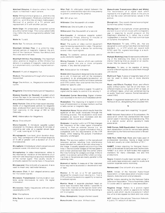Matched Dissolve: A dissolve where the main object is matched in each camera.

Matte: Without shine or gloss (i.e., print this title on black matte paper). Relatively unreflective of light (i.e., print this title on black matte paper). Removal of a portion of a TV picture and replacement of it with another picture.

Matte Edge: An undesirable, unwanted outline around a matted image. This is also called matte ring, matte ride, but more generally called a"bad matte"

Matte In: To add.

Matte Out: To remove, eliminate

Maximum Intrinsic Flux: In a uniformly magnetized sample of magnetic material, the product of the maximum intrinsic flux density and the cross-sectional area.

Maximum Intrinsic Flux Density: The maximum value, positive or negative, of the intrinsic flux density in a sample of magnetic material which is in a symmetrically, cyclically magnetized con- dition.

Maxwell: A unit of magnetic flux.

Medium: The substance through which awave is transmitted.

Mega: One million, i.e., Megacycle is one million cycles.

Megahertz: One million hertz (unit of frequency).

Memory Counter (or Rewind): A system which allows the tape to be rewound automatically to any predetermined point on the tape.

Metal Particle: One of the most recent developments of a magnetizable particle for magnetic tape, produced from pure iron and having very high coercivity in the range of 850 to 1250 **Oersteds** 

MHZ: Abbreviation for MegaHertz.

Micro: One millionth.

Micro -Cassette: A miniature cassette system originated by Olympus, allowing 30 minutes of recording per side on a capstan -driven tape, 1/7" wide, running at 15/16 ips.

Microdropouts: Low level, short duration dropouts. They correspond to RF envelope dropouts of 10 dB or greater with a duration of .5 to .8 microseconds.

Microphone: A transducer which converts sound pressure waves into electrical signals.

Microphonics: In video transmission, refers to the mechanical vibration of the elements of an electron tube resulting in a spurious modulation of the normal signal. This usually results in erratically spaced horizontal bars in the picture.

Microsecond: One millionth of a second. A term used to mean very fast/instantaneous.

Microwave Dish: A dish shaped antenna used for microwave signals.

Microwave Transmission: Communication systems using microwaves to carry the signal information.

Microwaves: Radio frequencies with very short wavelengths (UHF).

Mike: Microphone.

Mike Boom. A boom on which a mike has been hung.

Mike Pad: An attenuator placed between the output of a mike and the input of a mike preamp to prevent overdriving the preamp.

Mil: .001 of an inch.

Millimeter: One thousandth of a meter.

Millimicron: One billionth of a meter.

Millisecond: One thousandth of a second.

Mini-Cassette: A miniature cassette system originated by Philips, allowing 15 minutes of recording per side on a narrow tape.

Mixer. The audio or video control equipment used for mixing sound and/or video. The person who mixes. In video, a device for combining several video input signals.

Mixing: To combine various pictures and/or audio elements together.

Mixing Console: A device which can combine several signals into one or more composite signals, in any desired proportion.

Mm: Abbreviation for millimeter.

Mobile Unit: Equipment designed to be movable as a unit. A truck/van with all the necessary equipment to do photography/production on location. Sometimes mobile units have cameras and VTR's within them and sometimes they are added for specific jobs.

Modulate: To vary/control a signal. To watch a signal and be ready to control it by varying it.

Modulated Carrier Recording: Signal information recorded in the form of a modulated carrier.

Modulation: The imposing of a signal on some type of transmission or storage medium, such as a radio carrier or magnetic tape.

Modulation Noise: Noise which results from the agitation of the oxide molecules through the recording process. The modulation noise level increases as record level increases and disappears when no signal is present.

Modulator. A section within a VTR that changes the frequency of the video signal information coming in from an external source (i.e., an electronic camera) to signal information that is compatible with the requirements of the VTR heads, while keeping the picture information basically unchanged.

Moire: The spurious pattern in the reproduced television picture resulting from interference beats between two sets of periodic structures in the image. It usually appears as a curving of the lines in the horizontal wedges of the test pattern and is most pronounced near the center where the lines forming the wedges converge. A Moire pattern is a natural optical effect when converging lines in the picture are nearly parallel to the scanning lines.

Moment of Inertia: A measure of the rotational force required to accelerate or decelerate a reel of tape.

Monitor. A TV set, or a TV set specifically designed for closed circuit viewing (i.e., from a VTR) without the electronic capability to receive broadcast signals.

Monitor Head: A separate playback head on some tape recorders that makes it possible to listen to the material on the tape an instant after it has been recorded and while the recording is still in progress

Mono. Monophonic: Single -channel sound.

Monochrome: One color. Without color.

Monochrome Transmission (Black and White): The transmission of a signal wave which represents the brightness values in the picture but not the color (chrominance) values in the picture.

Monophonic: One sound channel/source/signal. Sometimes called monaural.

Moving-Coil: A microphone whose generating element is a coil which moves within a magnetic gap in response to sound pressure on the diaphragm attached to it, rather like a small loudspeaker in reverse. The most common type of Dynamic Microphone.

Multi-Standard: TV sets, VTR's, etc., that are designed to work using more than one technical standard; i.e., a VTR which can record both NTSC and PAL signals/recordings is a multistandard machine.

Multiple Blanking Lines: Evidenced by a thickening of the blanking line trace or by several distinct blanking lines as viewed on an oscilloscope. May be caused by hum.

Multiplex: To take, or be capable of taking, several different signals and send them through one source.

Multitrack Tape: A piece of magnetic tape which can be used to store two or more discrete signals.

Music and Effects Track(s): Music and effects audio without audio. Can be on one track, on different tracks on one piece of film or tape, or on different tapes, which are combined during an audio "track mix" session. Sometimes abbreviated M & E.

Mylar. A registered trademark of E.I. duPont de Nemours & Co., designating their polyester film.

# N

N.G.: An often-used term meaning "no good."

NAB: National Association of Broadcasters. An association which has standardized the equal ization used in recording and reproducing. This is a station owner and/or operator's trade association.

NAB Curves, NAB Equalization: Standard playback equalization curves for various tape speeds, developed by the National Association of Broadcasters.

NAB Reel, NAB Hub: Reels and hubs used in professional recording, having a large center hole and usually an outer diameter of 101/2

NABET: Initials standing for National Association of Broadcast Employees and Technicians. NABET is a union of technicians that supplies members for many videotape, live and film productions.

Nagra: A brand of audio tape recorder using 1/4" wide audio tape extensively used for studio and location separate audio recording.

Nanosecond: One billionth of a second.

NAVA: Initials of the National Audio-Visual Association, a trade association of audio-visual dealers, manufacturers and producers.

NCTA: Initials standing for the National Cable Television Association. This is the primary cable TV owner and/or operator's trade association.

Negative Image: Refers to a picture signal having a polarity which is opposite to normal polarity and which results in a picture in which the white areas appear as black and vice versa. NET: National Educational Television Network.

A public TV network of stations.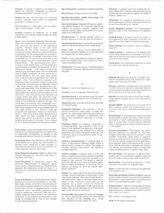Network: A group of stations connected together for common broadcast or common business purposes; multiple circuits.

Neutral: Normal; without power; not in working position; without much color or brightness purposes; multiple circuits.

Nits (Candlés/m2): The metric unit for bright ness. 1 foot lambert = 3.425 Nits.

Nodules: Clusters of materials, i.e., a large nodule of iron oxide on magnetic tape would be a tape defect.

Noise: Any unwanted electrical disturbances, other than crosstalk or distortion components, that occur at the output of the reproduce amplifier. System noise is the total noise produced by the whole recording system, including the tape. Equipment noise is the noise produced by all the components of the system, with the exception of the tape. Tape noise is the noise that can be specifically ascribed to the tape. Typical sources of tape noise are: 1) Bulk  $E$ rased Noise  $-$  the noise arising when reproducing a bulk erased tape with the erase and record heads completely de energized; 2) Zero<br>Modulation Noise — the noise arising when reproducing an erased tape with the erase and record heads energized as they would be in normal operation, but with zero input signal. This noise is usually 3-4 dB higher than the bulk erased noise. The difference between bulk erased and zero modulation noise is sometimes termed bias induced noise; 3) Saturation Noise -the noise arising when reproducing a uniformly saturated tape. This is often some 15 dB higher than the bulk erased noise and is associated with imperfect particle dispersion; 4) DC Noise - the noise arising when reproducing a tape which has been non-uniformly magnetized by energizing the record head with DC, either in the presence or absence of bias. This noise has pronounced long wavelength components which can be as much as 20 dB higher than those obtained from a bulk erased tape. At very high values of DC, the DC noise ap-proaches the saturation noise; 5) Modulation Noise  $-$  the noise arising when reproducing a tape which has been recorded with a given signal, and which is a function of the instantaneous amplitude of the signal. This is related<br>to DC noise and arises from the same causes.

Noise Pulse: A spurious signal of short duration that occurs during reproduction of a tape and is of magnitude considerably in excess of the average peak value of the ordinary system noise.

Noise Reduction: The amount in dB that the noise added to a signal by transmission or storage chain, especially a tape recorder, is reduced from the level at which it would be if no noise reduction devices were used.

Noise Reduction Systems: Refers to electronic circuits designed to minimize hiss level in magnetic recording.

Noise Weighting: An adjustment used in the electrical measurement of television signal noise values, to take into account the difference between the observable effect of noise in a television picture and the actual electrical value of noise.

Noise/A-Weighted: Unwanted electrical signals produced by electronic equipment or by magnetic tape. Mostly confined to the extremes of the audible frequency spectrum where it occurs as hum and/or hiss. A -weighted noise is noise measured within the audio frequency band using a measuring instrument that has a frequency selective characteristic. The frequency sensitivity of the measuring instrument is adjusted to correspond to that of the average human hearing response.

Non-Compatible: Incapable of working together.

Non -Ferrous: Without iron or iron oxide.

Non -Return -to -Zero (NRZ) Recording: See DIGITAL RECORDING.

Non -Synchronous: Separate things not operating together properly, i.e., audio and video or the inability to properly operate together with another specific piece of equipment or signal. (See SYNCHRONOUS.)

Nondirectional: A pickup pattern which is equally sensitive to sounds from all directions.

Normal/Standard/Low: The bias switch position used for standard gamma ferric oxide tapes.

Notch Filter: A device which attenuates a particular frequency greatly, but has little effect on frequencies for either side of it.

NTSC: Initials of the National Television Standards Committee (USA). Also stands for Never Twice the Same Color.

NTSC Color: The color signal TV standard set by the National Television Standards Committee of the USA.

# O

Octave: A two to one frequency ratio.

Oersted: A unit of magnetic field strength.

Omnidirectional: A microphone type that picks up sound relatively evenly from all directions.

Operating Level: A certain level of flux recorded on magnetic tape.

Orientation Direction: The direction in which particle orientation takes place. In tapes designed for quadruplex recording applications, the orientation direction is transverse. For helical and longitudinal recording, it is longitudinal.

Orientation Ratio: In a material composed of oriented particles, the orientation ratio is the ratio of the residual flux density in the orientation direction to the residual flux density perpendicular to the orientation direction. The orientation ratio of conventional tapes is typically about 1.7.

Orthicon (Conventional): A camera tube in which a low-velocity electron beam scans a photoemissive mosaic on which the image is focused optically and which has electrical storage capability.

Orthicon (Image): A camera tube in which the optical image falls on a photo -emissive cathode which emits electrons that are focused on a target at high velocity. The target is scanned from the rear by a low-velocity electron beam. Return beam modulation is amplified by an electron multiplier to form an overall lightsensitive device.

Output: The magnitude of the reproduced signal voltage, usually measured at the output of the reproduce amplifier. The output of an audio or instrumentation tape is normally specified in terms of the maximum output that can be obtained for a given amount of harmonic distortion, and is expressed in dB relative to the output that can be obtained from a reference tape under the same conditions.

Overhead Bits: Bits added to the binary message for the purpose of facilitating the transmision and recovery of the message (e.g., frame synchronization words, check bits, etc.).

Overscan: Increases scanning amplitudes approximately 20%. Used for tube/yoke set-up and sometimes as a precaution against an edge of picture "raster burn."

Overshoot: An excessive response to a unidirectional signal change. Sharp overshoots are sometimes referred to as "spikes."

Oxide (Magnetic Oxide): The magnetizable particle used in the manufacture of magnetic tape.

Oxide Buildup: The accumulation of oxide or, more generally, wear products in the form of deposits on the surface of heads and guides.

Oxide Coating: The magnetic material coated on base film.

Oxide Loading: A measure of the density with which oxide is packed into a coating. It is usually specified in terms of the weight of oxide per unit volume of the coating.

Oxide Shed: The loosening of particles of oxide from the tape coating during use.

# P

Packing Density: The amount of digital information recorded along the length of a tape measured in bits per inch (bpi).

Pairing: A partial or complete failure of interlace in which the scanning lines of alternate fields do not fall exactly between one another but tend to fall (in pairs) one on top of the other

Pan Pot: An electrical device which distributes a single signal between two or more channels or speakers.

Parallel HDDR: The recording of multiple PCM data streams which are synchronous to a common clock onto multitrack recorder/reproducers.

Parity Check: A self-checking code employing binary digits in which the total number of one's (or zero's) in each code expression is always even or always odd. A check may be made for even or odd parity as a means of detecting errors in the system.

Particle Orientation: The process by which acicular particles are rotated so that their<br>longest dimensions tend to lie parallel to one another. Orientation takes place in magnetic tape by a combination of the sheer force applied during the coating process and the application of a magnetic field to the coating while it is still fluid. Particle orientation increases the residual flux density and hence the output of a tape and improves performance in several other ways.

Particle Shape: The particles of gamma ferric oxide used in conventional magnetic tape are acicular, with a dimensional ratio of about 6:1.

Particle Size: The physical dimensions of magnetic particles used in a magnetic tape.

Patch: To connect jack A to jack B on a patch bay with a patch cord.

Patch Bay (or Board or Panel or Rack): A group of jacks, each of which is connected to a piece of equipment in the control room to enable signal paths to be changed by patch cords.

Pause Control: A feature of some tape recorders that makes it possible to stop the movement of tape temporarily without switching the machine from "play" or "record."

PC2: Pattern Compatible Code.

PCM: Pulse Code Modulation.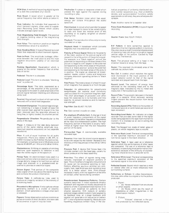PCM Disk: A method of recording digital signals on a disk like a standard vinyl record.

Peak Boost: A boost which is greater at the center frequency than either above or below it.

Peak Indicator. An indicator that responds to short transient signals, often used to supplement Recording Level Meters which usually indicate average signal levels.

Peak Magnetizing Field Strength: The positive or negative limiting value of the magnetizing field strength.

Peak Value: The maximum positive or negative instantaneous value of a waveform.

Peak-Reading Meter: A type of Recording-Level Meter that responds to short transient signals.

Peak-to-Peak: The amplitude (voltage) difference between the most positive and the most negative excursions (peaks) of an electrical signal.

Peaking Equalization: Equalization which is greater at the center frequency than at either side of center.

Pedestal: This term is obsolete.

Pedestal Level: This term is obsolete; "blanking level" is preferred.

Percentage Sync: The ratio, expressed as a percentage, of the amplifier of the synchronizing signal to the peak -to -peak amplitude of the picture signal between blanking and reference white level

Perm'ed: Magnetized to a level which cannot be removed with a hand-held degausser.

Permanent Elongation: The percentage elongation remaining in a tape or length of base film after a given load, applied for a given time, has been removed and the specimen allowed to hang free, or lightly loaded, for a further period.

Perpendicular Direction: Perpendicular to the plane of the tape.

Phase: A measure of the time delay between points of the same relative amplitude (e.g., maximum positive excursion) on two separate waveforms.

Phon: A unit of equal loudness for all audio frequencies. Phons are related to dB, SPL re: 0.0002 microbar by the Fletcher -Munson curves. For example, a loudness level of 40 phons would require 40 dB SPL at 1 KHz and 52 dB at 10 KHz.

Photoemissive: Emitting or capable of emitting electrons upon exposure to radiation in and near the visible region of the spectrum.

Pickup Tube: An electron-beam tube used in a television camera where an electron current or a charge -density image is formed from an optical image and scanned in a predetermined se quence to provide an electrical signal.

Picture Signal: That portion of the composite video signal which lies above the blanking level and contains the picture information.

Picture Tube: A cathode-ray tube used to produce an image by variation of the intensity of a scanning beam.

Piezoelectric Microphone: A microphone whose generating element is a crystal or ceramic element, which generates a voltage when bent or stressed.

Pigeons: Noise observed on picture monitors as pulses or bursts of short duration, at a slow rate of occurrence; a type of impulse noise.

Pinchroller: A rubber or neoprene wheel which presses the tape against the capstan during recording or play.

Pink Noise: Random noise which has equal energy per octave throughout the audio spectrum.

Pitch Control: A circuit which permits the speed of a tape transport's motor to be varied slightly to raise and lower the musical pitch of the recording or to slightly lengthen or shorten playing time.

Playback: The reproduction of sound previously recorded on a tape.

Playback Head: A transducer which converts magnetic flux into electrical current.

Polarity of Picture Signal: Refers to the polarity of the black portion of the picture signal with respect to the white portion of the picture signal. For example, in a "black negative" picture, the potential corresponding to the black areas of the picture is negative with respect to the potential corresponding to the white areas of the picture, while in a "black positive" picture the potential corresponding to the black areas of the picture is positive. The signal as observed at broadcasters' master control rooms and telephone company television operating centers is "black negative.

Pole Pieces: The metal pieces of a head through which magnetic flux passes to or from the gap.

Polyester: An abbreviation for polyethylene terephthalate, the material most commonly used as a base film for precision magnetic tape. The chief advantages of polyester over other base film materials lie in its humidity and time stability, its solvent resistance and its mechanical strength.

# Pop Filter: See BLAST FILTER.

Pot: Gain control in audio or video.

Pre-emphasis (Predistortion): A change in level of some frequency components of the signal with respect to the other frequency components at the input to a transmission system. The high frequency portion of the band is usually transmitted at higher level than the low frequency<br>nortion of the band portion of the band.

Prerecorded Tape: A commercially available recorded tape.

Presence: How near the sound source appears to be with respect to the listener. Related to the intensity of the frequencies in the 2.5K to 7.5Khz range.

Pressure Pad: A device that forces tape into intimate contact with the head gap, usually by direct pressure at the head assembly.

Print-thru: The effect of signals being magnetically impressed on adjacent portions of tape. This is the effect of magnetic induction and its cause can be excessive spooling or heat.<br>Factors affecting spurious printing are prin-<br>Factors affecting spurious printing are prin-Factors affecting spurious printing are principally heat, tape thickness and recording level and, to a lesser extent, time. Print-through increases linearly with the logarithm of the time of contact, other factors being constant.

Pseudorandom Sequences/Patterns: Certain systems described in these standards employ<br>feedback shift registers to modify sequences or patterns of bits in a predetermined manner or to restore such modified bit patterns to their original sequence. With outputs of suitably selected stages added modulo-2 and applied to its feedback loop, an n-stage feedback shift register will generate a bit sequence or pattern (2<sup>n</sup>-1) bits long before repeating. Because such repeating sequences exhibit many of the statistical properties of uniformly distributed ran dom number sequences (e.g., their probability density and autocorrelation functions satisfy appropriate conditions), they are called pseudorandom.

Puck: Another name for a capstan idler.

Pulse-Code Modulation (PCM): A type of digital recording.

 $\Omega$ 

Quarter-Track: See FOUR-TRACK.

R<br>R-F Pattern: A term sometimes applied to describe a fine herringbone pattern in a picture. May also cause a slight horizontal displacement of scanning lines resulting in a rough or ragged vertical edge of the picture. Caused by high frequency interference.

Rack: The physical setting of a head in the direction toward or away from the tape.

Raster: The scanned (illuminated) area of the cathode ray picture tube.

Rec Cal: A control which matches the signal level monitored in the input position of the output selector switch to that of the signal recorded and played back from the tape.

Record Level: The amount of energy level delivered to the recording head and to the magnetic tape. Indicated by the VU meter and measured in Nanowebers per meter.

Record Tabs: Those plastic tabs seen in the back edge of a cassette. When removed, sensing fingers prevent the record button from being depressed.

Recording Speed (IPS): Refers to the number of inches per second, or centimeters per second, of tape movement.

Recording -Level Meter. An indicator on a tape recorder that provides some idea of the signal levels being applied to the tape from moment to moment. It is intended as an aid in setting the recording levels.

plastic, on which magnetic tape is wound.

Reference Black Level: The level corresponding to the specified maximum excursion of the luminance signal in the black direction.

Reference Tape: A tape used as a reference against which the performances of other tapes are compared. The use of a reference tape is necessary in specifying most performance characteristics because of the difficulty of expressing these characteristics in absolute terms.

Reference White Level: The level corresponding to the specified maximum excursion of the luminance signal in the white direction.

or listener after one or more reflections from surrounding surfaces.

Reflections or Echoes: In video transmission, this may refer either to a signal or to the picture produced.

1. Signal:

<sup>1</sup>(a) Waves reflected from structures or other objects.

<sup>1</sup>(b) Waves which are the result of impedance or other irregularities in the transmission medium.

2. Picture:

"Echoes" observed in the picture produced by the reflected waves.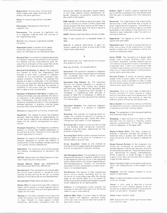Registration: The accuracy of having all three images (red, green and blue) with exactly the same geometry.

Relay: An electromagnetically operated switch.

Reluctance: Resistance to the flow of magnetic flux.

Remanance: The amount of magnetism left in a magnetic material after the removal of the magnetizing force.

Remote: Any program originating outside the studio.

Reproduce Level: A control which determines the output level of signals played back from the tape by the reproduce head.

Residual Flux: In a uniformly magnetized sample of magnetic material, the product of the residual flux density and the cross-sectional area. Residual flux is indicative of the output that can be expected from a tape at long wavelengths.

Residual Flux Density, Br Gauss: The magnetic flux density at which the magnetizing field strength is zero when a sample of magnetic material is in a symmetrically cyclically magnetized condition. Normally, the residual flux density of a tape is measured in the orientation direction, using an alternating magnetizing field of amplitude 1000 Oe. Residual flux density is indicative of the output that can be expected from a tape at short wavelengths.

Residual-to-Maximum Flux Ratio: In tapes consisting of oriented, acicular particles, this ratio is an indication of the degree of partical orientation. Theoretically, the ratio varies from 0.5 for randomly oriented particles to 1.0 for completely oriented particles. In practice, oriented tapes typically have ratios between 0.70 and 0.76.

Resistance: Opposition to the flow of electrons.

Resolution: The degree to which the distance between differing states of magnetization re corded along a tape can be reduced and these states still be usefully distinguished on reproduction.

Resonant Frequency: The frequency at which a parallel LC Circuit has highest opposition to current and at which a Series LC Circuit has the lowest opposition to current.

Restorer. As used by the telephone company, a network designed to remove the effects of predistortion or pre-emphasis, thereby resulting in an overall normal characteristic.

Retentivity: The maximum value of the residual flux density corresponding to saturation flux density.

RETMA: Abbreviation for Radio Electronic Television Manufacturers Association.

Retrace (Return Trace): See HORIZONTAL RETRACE and VERTICAL RETRACE.

Reverberation: The persistence of a sound after the source stops emitting it, caused by many discrete echoes arriving at the ear so closely spaced in time that the ear cannot separate them.

Reverberation Time: Same as decay time.

Ribbon Mike: A mike which uses a thin metal foil ribbon which moves in a fixed magnetic field in response to sound waves and thus generates an output for the mike.

output of a system as a result of a sudden change in input. Results in close spaced multiple reflections, particularly noticeable when observing test patterns, equivalent square waves, or any fixed objects whose reproduction re quires frequency components approximating the cutoff of the system.

RMS VALUE: The effective value of a wave. The value of continuous (direct current) signal that would produce the same power as the wave in question. For a sine wave, this value is equal to 0.707 times the peak value.

RNRZ: Randomized Non -Return -to -Zero (Code).

Roll: A reel wound with a standard length of tape.

Roll-off: A gradual attenuation of gain frequency response at either or both ends of the transmission pass band.

# S

S/F: Sound over film, meaning the film is silent and sound will come.

# S/N: See SIGNAL-TO-NOISE RATIO.

Saturation: The condition reached in magnetic tape recording where output does not increase with increased input and hence distortion increases significantly.

Saturation Flux Density, B<sub>s</sub>: The maximum intrinsic flux density possible in a sample of magnetic material. The intrinsic flux density asymptotically approaches the saturation flux density as the magnetizing field strength is increased. A magnetizing field strength in excess of 5000 Oe. is necessary to obtain an accurate measure of the saturation flux density of a typical tape.

Saturation Moment: The maximum magnetic moment possible in a sample of magnetic material.

Scanning: The process of breaking down an image into a series of elements or groups of elements representing light values and transmitting this information in time sequence.

Scanning Line: A single, continuous narrow strip of the picture area containing highlights, shadows and half-tones, determined by the<br>process of scanning. <br>**Signal-to-Noise Ratio:** The ratio, usually exprocess of scanning.

Scanning Spot: Refers to the cross-section of an electron beam at the point of incidence in a camera tube or picture tube.

Screw Assembly: Refers to the method of joining of the two plastic parts of a cassette with screws, as opposed to sonically welding.

Self-Demagnetization: The process by which a magnetized sample of magnetic material tends to demagnetize itself by virtue of the opposing fields created within it by its own magnetization. Self -demagnetization inhibits the successful recording of short wavelengths or sharp transitions in a recorded signal.

Self-Erasure: The erasure of high frequencies which occurs during recording due to the formation of a secondary gap after the trailing<br>edge of the record head. It is increased by excess bias and by excess high frequency signal levels (especially at low tape speeds).

SelSync: A configuration which enables the engineer to play back the signal from the record head for use in overdubbing.

Ringing: An oscillatory transient occurring in the SelSync Bias Trap: A control used to remove bias signal from adjacent recording heads which can leak into record head being used to play back a signal.

SelSync Gain: A control used to equalize the gain of SelSync playback from the record head with the gain of playback from the reproduce head.

Sensitivity: The magnitude of the output when reproducing a tape recorded with a signal of given magnitude and frequency. The sensitivity of an audio or instrumentation tape is normally expressed in dB relative to the sensitivity of a reference tape measured under the same re cording conditions.

Separation: The degree to which two stereo signals are kept apart.

Separation Loss: The loss in output that occurs when the surface of the coating fails to make perfect contact with the surfaces of either the record or reproduce head.

Serial HDDR: The recording of a digital data stream onto a single recording track. With multitrack recorders, multiple streams can be recorded as long as each stream is recorded on a separate track. There is no requirement that multiple streams have a common synchronous clock nor is it required that the multiple streams be the same recording code.

Serrated Pulses: A series of equally spaced pulses within a pulse signal. For example, the vertical sync pulse is serrated in order to keep the horizontal sweep circuits in step during the vertical sync pulse interval.

Serrations: This is a term used to describe a picture condition in which vertical or nearly vertical lines have a saw -tooth appearance. The result of scanning lines starting at relatively<br>different points during the horizontal scan.

Servo System: An electrical device controlling the speed of a moving or rotating device such as <sup>a</sup>capstan/pinchroller rotating speed.

Setup: The separation in level between blanking and reference black levels.

Shedding: A tape's giving off of oxide or other particles from its coating or backing, usually causing contamination of the tape transport and, by redeposit, of the tape itself.

pressed in decibels, between the loudest un-<br>distorted tone a system can handle and the noise remaining when the signal is reduced to zero.

Single Domain Particle: All ferromagnetic ma terials are composed of permanently magnetized regions in which the magnetic moments of the atoms are ordered. These domains have a size determined by energy considerations. When a particle is small enough, it cannot support more than one domain and is called a single domain particle.

Skew: Passage of tape over a head in a direction other than perpendicular to the height of the gap

Slapback: Discrete repeats created by either digital or tape delay.

Slate: To label with a take number by recording a voice on the tape.

Smear: A term used to describe a picture condition in which objects appear to be extended horizontally beyond their normal boundaries in a blurred or "smeared" manner.

Snow: Heavy random noise.

SOF: Sound On Film, meaning the sound track is on the film itself.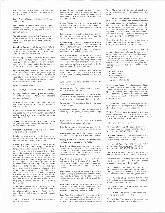Solo: To listen to one mike or track of a tape without listening to the others through the use of a solo button.

Sone: A unit of loudness. 2 sones are twice as loud as 1 sone.

Sonic Welded Assembly: Refers to the joining of the two plastic parts of a cassette by the use of a sonic weld, actually melting the plastic at the point of joining.

Sound Pressure Levels (SPL): A measure of the sound pressure created by a sound, usually in the units of dB referred to 0.0002 microbar of pressure.

Sound-on-Sound: A method by which material previously recorded on one track of a tape may be rerecorded on another track while simultaneously adding new material to it.

Source/Tape Switch: A control found on control amplifiers with tape monitor jacks, and on<br>recorders with Monitor Heads; allows comparison of the signal being fed to the tape (Source) with the signal just recorded.

Specific Magnetic Moment: The value of the saturation moment per unit weight of a magnetic material expressed in emu/gm. The specific magnetic moment is the most convenient quantity in which to express the saturation magnetization of fine particle materials.

Spike: See OVERSHOOT.

Splice: A physical join between pieces of tape.

Splicing Tape: A special pressure-sensitive, non-magnetic tape used for joining two lengths of magnetic tape.

Spoking: A form of buckling in which the tape pack is deformed into a shape which approximates a polygon.

Squareness: A measure of magnetic behavior expressed as a ratio. 1.00 would be considered perfect and the normal range for magnetic material is .7 to .9.

Squeal: Audible tape vibrations, primarily in the longitudinal mode, caused by frictional excitation at heads and guides.

Stereophonic, Stereo: Using two or more channels to create a spatial effect.

Stiction: A term loosely used to describe the phenomenon of tape adhering to transport components such as heads or guides.

Streaking: A term used to describe a picture condition in which objects appear to be extended horizontally beyond their normal boundaries. This will be more apparent at vertical edges of objects when there is a large transition from black to white or white to black. The change in luminance is carried beyond the transition and may be either negative or positive. For example, if the tonal degradation is an opposite shade to the original figure (white following black), the streaking is called negative; however, if the shade is the same as the original figure (white following white), the streaking is called positive. Streaking is usually expressed as short, medium or long streaking. An automatically prevents the tape from contacting<br>Long streaking may extend to the right edge of The recorder's heads during fast forward or Long streaking may extend to the right edge of the picture and, in extreme cases of low frequency distortion, can extend over a whole line interval.

Superimposition (or Super): Two images simul-<br>taneously picked up by two different cameras and electronically mixed on the face of a kinescope tube in such a manner that both images are visible.

Supply Turntable: The turntable which feeds tape to the heads.

Surface Asperities: Small, projecting imperfections on the surface of the coating that limit and cause variations in head -to-tape contact. A term useful in discussions of friction and modulation noise.

Surface Treatment: Any process by which the surface smoothness of the tape coating is improved after it has been applied to the base film.

Switcher. A panel of buttons that allows switching from one camera to another. Also the engineer who operates the switches.

Symmetrically, Cyclically, Magnetized Condition: A magnetic material is in this condition when, under the influence of a magnetizing field cycled between equal but opposite values, its successive hysteresis loops coincide.

Sync: An abbreviation for the words "synchronization," "synchronizing," etc. Applies to the synchronization signals or timing pulses, which lock the electron beam of the picture monitors in step, both horizontally and vertically, with the electron beam of the pickup tube.

Sync Compression: The reduction in the amplitude of the sync signal, with respect to the picture signal, occurring between two points of .<br>a circuit.

Sync Level: The level of the tips of the synchronizing pulses.

Synchronization: The maintenance of one operation in step with another.

Synchronization Word: A fixed pattern of bits inserted in a binary message for the purpose of the systems where<br>experience interpreting unit or along the tape synchronizing the message interpreting unit.

Synchronous: The condition of having the same rate and phase.

Synchronous Motor. A motor with speed controlled by the frequency of the applied voltage.

# T<sub>u</sub>

Tachometer. A device which counts the number of revolutions per second of a motor.

Tails Out: A way of winding tape such that the end of the selection is at the outside of the reel.

Takeup Reel: The reel on the tape recorder that accumulates the tape as it is recorded or played.

Takeup Turntable: The turntable which takes up the tape after it passes by the heads.

Tape Delay: Using magnetic tape as a storage medium for a brief period of time to delay the playback of a signal. Delay time equals the distance between the record and playback heads divided by the tape speed.

Tape Guides: Grooved pins or rollers mounted between and at both sides of the tape head assembly to position the magnetic tape cor rectly on the head as it is being recorded or played.

Tape Lifters: A system of movable guides that automatically prevents the tape from contacting rewind modes of operation, thus preventing

Tape Loop: A length of magnetic tape with the ends joined together to form an endless loop. It makes possible the repetitive playback of a recording without rewinding the tape.

Tape Pack: The form taken by the tape wound on sponding to a given record gap. to a reel. A good pack is one that has a uniform wind, has an acceptable E-value and is free from spoking, cinching and layer-to-layer adhesion.

Tape Player. A unit that is not capable of recording and is used only for playing recorded tapes.

Tape Skew: The deviation of a tape from following a linear path when transported across the heads, causing a time displacement between signals recorded on different tracks and amplitude differences between the outputs from individual tracks owing to variations in azimuth alignment. The adjectives static and dynamic are used to distinguish between the steady and fluctuating components of tape skew.

Tape Speed: The speed at which tape is transported from feed (supply) to takeup reels during normal recording or reproduction.

Tape Transport: The mechanism that extracts magnetic tape from a storage device, moves it across magnetic heads at a controlled speed, and then feeds it into another storage device. Typical storage devices are tape loops, bins, reels and magazines (cassettes, cartridges). The tape transport is one part of a magnetic tape recorder/reproducer system that normally con sists of:

- 1. Magnetic heads
- 2. Magnetic tape
- 3. Tape transport
- 4. Record electronics
- 5. Reproduce electronics

Tape-to-Head Speed: The relative speed of tape and head during normal recording or replay. The tape-to-head speed coincides with the tape speed in conventional longitudinal recording but is considerably greater than the tape speed in systems where the heads are scanned across

Tear Strength: The force, usually in gm, required to initiate and/or propagate a tear in a specially shaped specimen of tape or base film.

Tearing: A term used to describe a picture condition in which groups of horizontal lines are displaced in an irregular manner. Caused by lack of horizontal synchronization.

THD: Total Harmonic Distortion.

Threshold of Feeling: The sound pressure level at which people feel discomfort 50% of the time. Approximately 118 dB SPL at 1 KHz.

Threshold of Hearing: The sound pressure level at which people hear only 50% of the time. Approximately 0 dB SPL at 1 KHz.

Threshold of Pain: The sound pressure level at which people feel actual pain 50% of the time. Approximately 140 dB SPL SPL at 1 KHz.

Timbre: The harmonic content of a tone and the relative intensities of the different harmonics.

Tolerance: The allowable deviation from the stated nominal width or length. Width tolerance is usually considered to be  $\pm 0.001'$ 

Total Thickness: Normally, the sum of the thicknesses of the base film and the magnetic coating. The total thickness governs the length of tape that can be wound on a given reel.

Track: An area of tape surface that coincides with the location of the recorded magnetization produced by one record gap.

Track Spacing: The distance between the center lines of adjacent tracks.

Track Width: The width of the track corre-

Trailing Edge: The place on the record head where the recording actually takes place.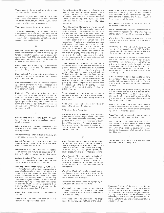Transducer. A device which converts energy from one medium to another.

Transients: Signals which endure for a brief time. These may include overshoots, damped sinusoidal waves, etc., and, therefore, additional qualifying information is necessary.

Transverse: Across the width of the tape.

Two-Track Recording: On 1/4" wide tape, the arrangement by which only two channels of sound may be recorded, either as a stereo pair in one direction or as separate monophonic tracks (usually in opposite directions).

# U

Ultimate Tensile Strength: The force per unit cross-sectional area required to break a tape or length of base film, usually given in pounds per square inch (psi). Ultimate tensile strength is also quoted in terms of pounds per tape sample of given width and base thickness.

Unbalanced Line: A line using two conductors to carry a signal, where one of the conductors is connected to ground.

Unidirectional: A pickup pattern which is more sensitive to sounds arriving from one direction than from any other.

Unidirectional Mike: A microphone which picks up signals primarily from one direction and discriminates against or rejects sounds arriving from other directions.

Uniformity: The extent to which the output remains free from variations in amplitude. Uniformity is usually specified in terms of the age output within a roll, and in terms of the deviations in the average outputs between one roll and another. Uniformity is normally quoted in percent or dB.

# $\overline{V}$

Variable Frequency Oscillator (VFO): An oscillator which puts out a waveform of continuously variable frequency.

Velocity Mike: A mike which is sensitive to the velocity of the air molecules hitting its sound sensing element.

Vertical Blanking: Refers to the blanking signals which occur at the end of each field.

Vertical Retrace: The return of the electron beam from the bottom to the top of the raster after completion of each field.

Vertical Roll: A lack of vertical synchronization which causes the picture, as observed on the picture monitor, to move upward or downward.

Vestigial Sideband Transmission: A system of transmission wherein the sideband on one side of the carrier is transmitted only in part.

Vibrating -Sample Magnetometer, VSM: A device for determining the magnetic properties of a sample of magnetic material by vibrating it in a magnetic field and measuring the emf induced in search coils in close proximity to the sample. The VSM is particularly useful in determining the specific magnetic moment of oxides and the oxide loading of tapes, since it can be designed to provide much higher magnetizing field strengths (10,000 Oe. or more) than can be conveniently obtained in a B-H meter.

Video: The visual portion of the television program.

Video Band: The frequency band utilized to transmit a composite video signal.

Video Recording: This may be defined as any method employed to record television type signals. The most common methods employ frequency modulation of a carrier; however, almost every analog and digital recording technique has made or is being used for video recording.

Video Resolution (Horizontal): The amount of resolvable detail in the horizontal direction in a picture. It is usually expressed as the number of distinct vertical lines, alternately black and white, which can be seen in three-quarters of the width of the picture. This information usually is derived by observation of the vertical wedge of a test pattern. A picture which is sharp and clear and shows small details has a good, or high, resolution. If the picture is soft and blurred and small details are indistinct, it has poor, or low, resolution. Horizontal resolution depends upon the high frequency amplitude and phase re sponse of the pickup equipment, the transmission medium and the picture monitor, as well as the size of the scanning spots.

Video Resolution (Vertical): The amount of resolvable detail in the vertical direction in a picture. It is usually expressed as the number of distinct horizontal lines, alternately black and white, which can be seen in a test pattern. Vertical resolution is primarily fixed by the number of horizontal scanning lines per frame. Beyond this, vertical resolution depends on the size and shape of the scanning spots of the pickup equipment and picture monitor and does or bandwidth of the transmission medium or bicture monitor.

Video-in-Black: A term used to describe a condition as seen on the waveform monitor when the black peaks extend through reference black level.

Voice Over: The sound source is not visible or seen in the frame of the picture.

VTR: Video Tape Recording.

VU Meter: A type of recording level indicator which shows average signal levels in decibels relative to a fixed reference level (and, often, in percent of maximum recommended modulation). While the term is frequently used for any level meter using this scale, it applies most degree of damping.

# W

Wave: A continuous fluctuation in the amplitude of a quantity with respect to time. A wave will have a propagation velocity dependent on the medium through which it travels. For example, in air at 70°F., the propagation velocity of a sound pressure wave is 1130 feet per second.

Wave Velocity: The propagation velocity of a wave. The time it takes for one point of a waveform to travel a certain distance. Wave velocity is dependent on the medium through which the wave travels and the temperature of the medium.

Wave-Form Monitor: This refers to a cathode ray oscilloscope used to view the form of the composite video signal for waveform analysis. Sometimes called "A-scope."

Waveform: The shape traced on a graph by the fluctuation of a quantity with time.

Wavelengh: In tape recording, the shortest distance between two peaks of the same magnetic polarity; also, the ratio of tape speed to recorded frequency.

Waveshape: Same as Waveform. The shape traced by the varying amplitude of the wave.

Wear Product: Any material that is detached from the tape during use. The most common wear products are oxide particles or agglomerates, portions of coating and material detached from the edges of the tape.

Wet Signal: The output of an effect device, especially a reverb unit.

White Compression: Amplitude compression of the signals corresponding to the white regions of the picture, thus modifying the tonal gradient.

White Peak: The maximum excursion of the picture signal in the white direction at the time of observation.

Width: Refers to the width of the tape, varying from 0.150" in cassette tape to 2.0" for video, mastering and instrumentation tapes. The size of the picture in a horizontal direction.

Wind: The way in which tape is wound onto a reel. An A-wind is one in which the tape is wound so that the coated surface faces toward the hub; a B-wind is one in which the coated surface faces away from the hub. A uniform wind, as opposed to an uneven wind, is one giving a flatsided tape pack free from laterally displaced, protruding layers.

Winder/Cleaner. A device designed to wind and clean magnetic tape in order to restore it to a quality that approaches the condition of a new tape, providing the tape has not been physically damaged

Wipe: An electronic process whereby the output<br>of one camera can be out in a portion of the screen already taking a picture from another camera, thereby wiping out the portion of the first picture, where the second picture appears. Can be almost any shape.

Wow: Slow, periodic variations in the speed of the tape, characterized by its effect on pitch. A measure of non-uniform movement of magnetic tape or other recording parts.

Wrap: The length of the path along which tape and head are in intimate physical contact.

strictly to meters having a specified, standard load. Units are pounds per square include on the Yield Strength: The minimum force per unit cross-sectional area at which the tape or base film deforms without further increase in the pounds per tape sample of given width and base film thickness.

# 2

Zenith: The tilt of the head in the direction perpendicular to the tape travel.

Footnote: \* Many of the terms listed in this Glossary have been found in various documents such as Morton Dubin's "Videotape Glossary," "A Glossary of Terms Used in Magnetic Recording" by Tony Booker, Stereo Review's "Tape Recording & Buying Guide" published by Ziff - Davis Publishing Co., and several unidentifiable glossary listings.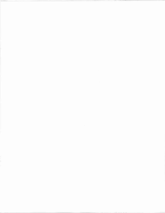![](_page_14_Picture_0.jpeg)